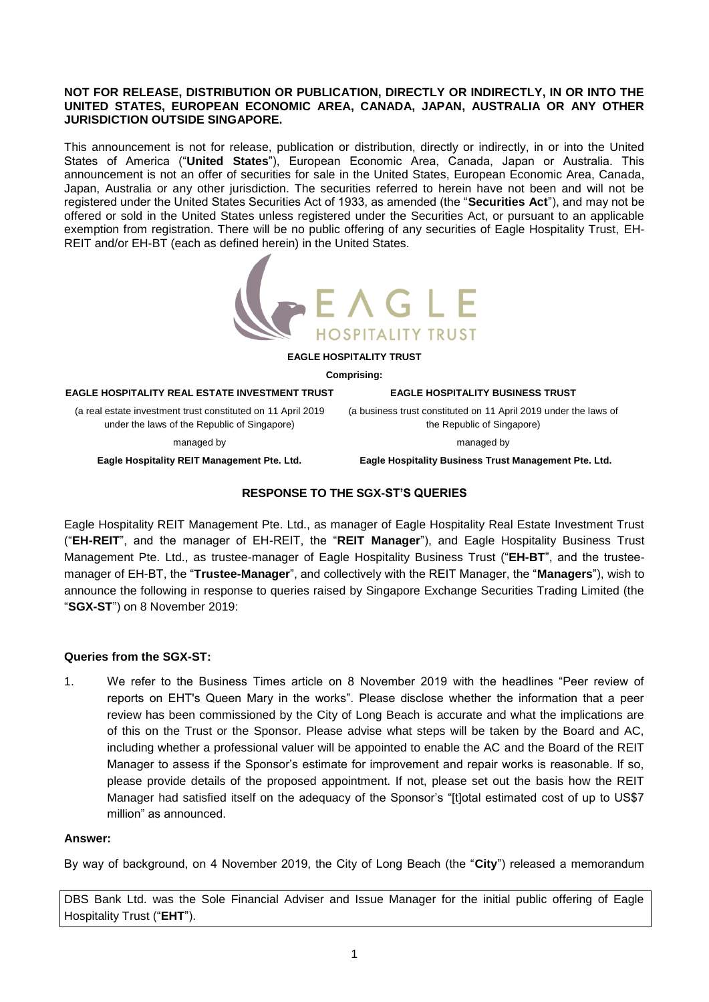### **NOT FOR RELEASE, DISTRIBUTION OR PUBLICATION, DIRECTLY OR INDIRECTLY, IN OR INTO THE UNITED STATES, EUROPEAN ECONOMIC AREA, CANADA, JAPAN, AUSTRALIA OR ANY OTHER JURISDICTION OUTSIDE SINGAPORE.**

This announcement is not for release, publication or distribution, directly or indirectly, in or into the United States of America ("**United States**"), European Economic Area, Canada, Japan or Australia. This announcement is not an offer of securities for sale in the United States, European Economic Area, Canada, Japan, Australia or any other jurisdiction. The securities referred to herein have not been and will not be registered under the United States Securities Act of 1933, as amended (the "**Securities Act**"), and may not be offered or sold in the United States unless registered under the Securities Act, or pursuant to an applicable exemption from registration. There will be no public offering of any securities of Eagle Hospitality Trust, EH-REIT and/or EH-BT (each as defined herein) in the United States.



#### **EAGLE HOSPITALITY TRUST**

**Comprising:**

#### **EAGLE HOSPITALITY REAL ESTATE INVESTMENT TRUST**

(a real estate investment trust constituted on 11 April 2019 under the laws of the Republic of Singapore)

(a business trust constituted on 11 April 2019 under the laws of the Republic of Singapore)

managed by

**EAGLE HOSPITALITY BUSINESS TRUST**

managed by **Eagle Hospitality REIT Management Pte. Ltd.**

 **Eagle Hospitality Business Trust Management Pte. Ltd.**

# **RESPONSE TO THE SGX-ST'S QUERIES**

Eagle Hospitality REIT Management Pte. Ltd., as manager of Eagle Hospitality Real Estate Investment Trust ("**EH-REIT**", and the manager of EH-REIT, the "**REIT Manager**"), and Eagle Hospitality Business Trust Management Pte. Ltd., as trustee-manager of Eagle Hospitality Business Trust ("**EH-BT**", and the trusteemanager of EH-BT, the "**Trustee-Manager**", and collectively with the REIT Manager, the "**Managers**"), wish to announce the following in response to queries raised by Singapore Exchange Securities Trading Limited (the "**SGX-ST**") on 8 November 2019:

# **Queries from the SGX-ST:**

1. We refer to the Business Times article on 8 November 2019 with the headlines "Peer review of reports on EHT's Queen Mary in the works". Please disclose whether the information that a peer review has been commissioned by the City of Long Beach is accurate and what the implications are of this on the Trust or the Sponsor. Please advise what steps will be taken by the Board and AC, including whether a professional valuer will be appointed to enable the AC and the Board of the REIT Manager to assess if the Sponsor's estimate for improvement and repair works is reasonable. If so, please provide details of the proposed appointment. If not, please set out the basis how the REIT Manager had satisfied itself on the adequacy of the Sponsor's "[t]otal estimated cost of up to US\$7 million" as announced.

### **Answer:**

By way of background, on 4 November 2019, the City of Long Beach (the "**City**") released a memorandum

DBS Bank Ltd. was the Sole Financial Adviser and Issue Manager for the initial public offering of Eagle Hospitality Trust ("**EHT**").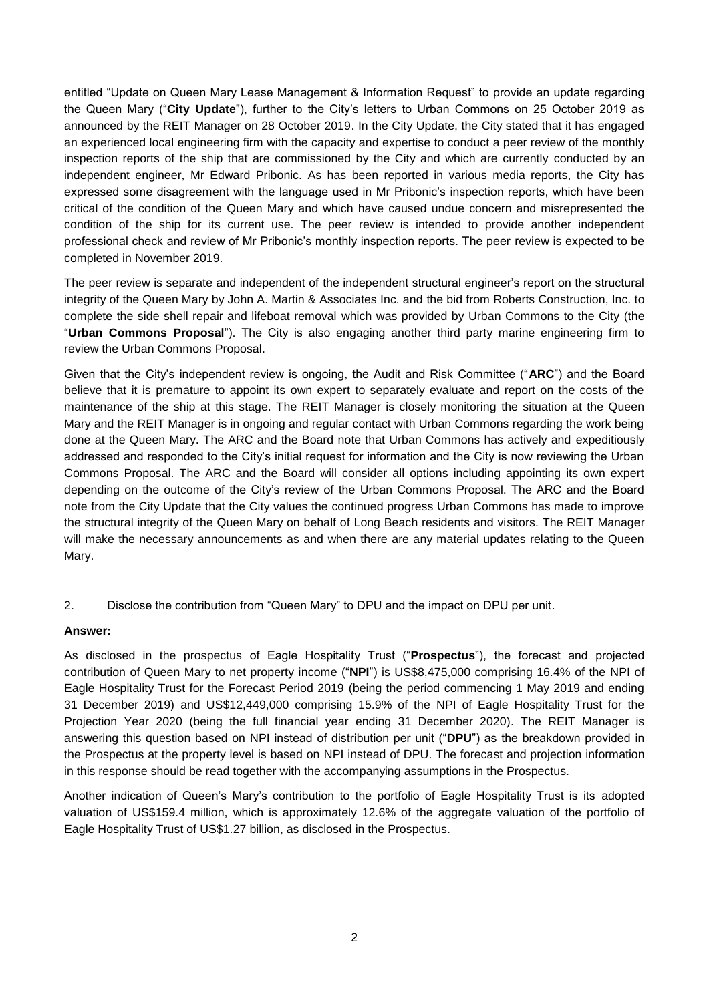entitled "Update on Queen Mary Lease Management & Information Request" to provide an update regarding the Queen Mary ("**City Update**"), further to the City's letters to Urban Commons on 25 October 2019 as announced by the REIT Manager on 28 October 2019. In the City Update, the City stated that it has engaged an experienced local engineering firm with the capacity and expertise to conduct a peer review of the monthly inspection reports of the ship that are commissioned by the City and which are currently conducted by an independent engineer, Mr Edward Pribonic. As has been reported in various media reports, the City has expressed some disagreement with the language used in Mr Pribonic's inspection reports, which have been critical of the condition of the Queen Mary and which have caused undue concern and misrepresented the condition of the ship for its current use. The peer review is intended to provide another independent professional check and review of Mr Pribonic's monthly inspection reports. The peer review is expected to be completed in November 2019.

The peer review is separate and independent of the independent structural engineer's report on the structural integrity of the Queen Mary by John A. Martin & Associates Inc. and the bid from Roberts Construction, Inc. to complete the side shell repair and lifeboat removal which was provided by Urban Commons to the City (the "**Urban Commons Proposal**"). The City is also engaging another third party marine engineering firm to review the Urban Commons Proposal.

Given that the City's independent review is ongoing, the Audit and Risk Committee ("**ARC**") and the Board believe that it is premature to appoint its own expert to separately evaluate and report on the costs of the maintenance of the ship at this stage. The REIT Manager is closely monitoring the situation at the Queen Mary and the REIT Manager is in ongoing and regular contact with Urban Commons regarding the work being done at the Queen Mary. The ARC and the Board note that Urban Commons has actively and expeditiously addressed and responded to the City's initial request for information and the City is now reviewing the Urban Commons Proposal. The ARC and the Board will consider all options including appointing its own expert depending on the outcome of the City's review of the Urban Commons Proposal. The ARC and the Board note from the City Update that the City values the continued progress Urban Commons has made to improve the structural integrity of the Queen Mary on behalf of Long Beach residents and visitors. The REIT Manager will make the necessary announcements as and when there are any material updates relating to the Queen Mary.

2. Disclose the contribution from "Queen Mary" to DPU and the impact on DPU per unit.

# **Answer:**

As disclosed in the prospectus of Eagle Hospitality Trust ("**Prospectus**"), the forecast and projected contribution of Queen Mary to net property income ("**NPI**") is US\$8,475,000 comprising 16.4% of the NPI of Eagle Hospitality Trust for the Forecast Period 2019 (being the period commencing 1 May 2019 and ending 31 December 2019) and US\$12,449,000 comprising 15.9% of the NPI of Eagle Hospitality Trust for the Projection Year 2020 (being the full financial year ending 31 December 2020). The REIT Manager is answering this question based on NPI instead of distribution per unit ("**DPU**") as the breakdown provided in the Prospectus at the property level is based on NPI instead of DPU. The forecast and projection information in this response should be read together with the accompanying assumptions in the Prospectus.

Another indication of Queen's Mary's contribution to the portfolio of Eagle Hospitality Trust is its adopted valuation of US\$159.4 million, which is approximately 12.6% of the aggregate valuation of the portfolio of Eagle Hospitality Trust of US\$1.27 billion, as disclosed in the Prospectus.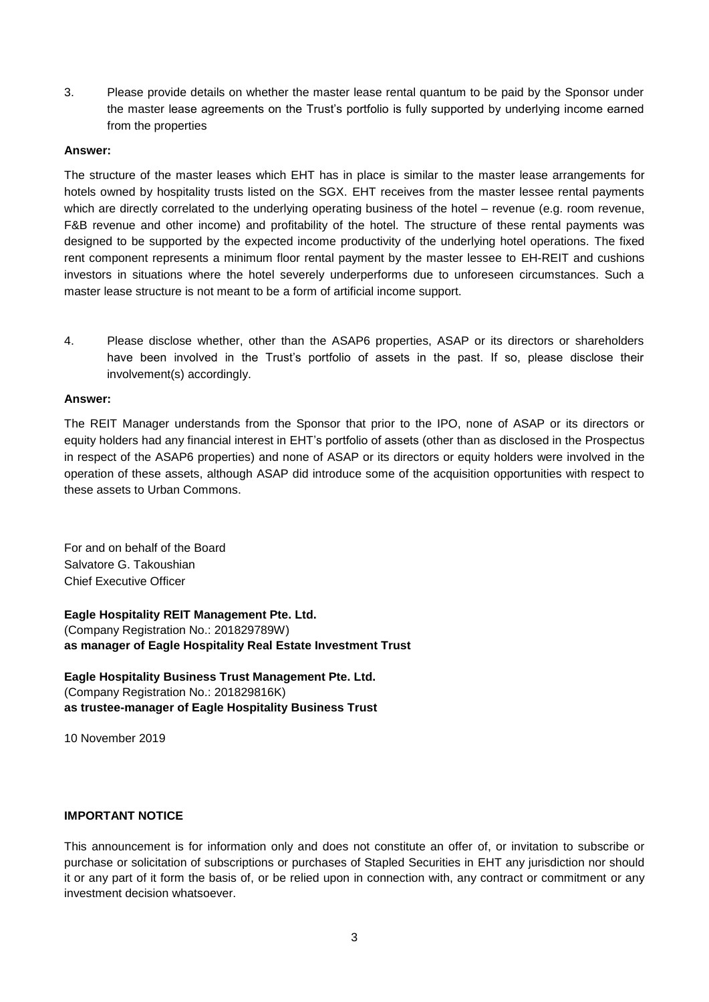3. Please provide details on whether the master lease rental quantum to be paid by the Sponsor under the master lease agreements on the Trust's portfolio is fully supported by underlying income earned from the properties

### **Answer:**

The structure of the master leases which EHT has in place is similar to the master lease arrangements for hotels owned by hospitality trusts listed on the SGX. EHT receives from the master lessee rental payments which are directly correlated to the underlying operating business of the hotel – revenue (e.g. room revenue, F&B revenue and other income) and profitability of the hotel. The structure of these rental payments was designed to be supported by the expected income productivity of the underlying hotel operations. The fixed rent component represents a minimum floor rental payment by the master lessee to EH-REIT and cushions investors in situations where the hotel severely underperforms due to unforeseen circumstances. Such a master lease structure is not meant to be a form of artificial income support.

4. Please disclose whether, other than the ASAP6 properties, ASAP or its directors or shareholders have been involved in the Trust's portfolio of assets in the past. If so, please disclose their involvement(s) accordingly.

### **Answer:**

The REIT Manager understands from the Sponsor that prior to the IPO, none of ASAP or its directors or equity holders had any financial interest in EHT's portfolio of assets (other than as disclosed in the Prospectus in respect of the ASAP6 properties) and none of ASAP or its directors or equity holders were involved in the operation of these assets, although ASAP did introduce some of the acquisition opportunities with respect to these assets to Urban Commons.

For and on behalf of the Board Salvatore G. Takoushian Chief Executive Officer

**Eagle Hospitality REIT Management Pte. Ltd.**  (Company Registration No.: 201829789W) **as manager of Eagle Hospitality Real Estate Investment Trust** 

**Eagle Hospitality Business Trust Management Pte. Ltd.**  (Company Registration No.: 201829816K) **as trustee-manager of Eagle Hospitality Business Trust** 

10 November 2019

# **IMPORTANT NOTICE**

This announcement is for information only and does not constitute an offer of, or invitation to subscribe or purchase or solicitation of subscriptions or purchases of Stapled Securities in EHT any jurisdiction nor should it or any part of it form the basis of, or be relied upon in connection with, any contract or commitment or any investment decision whatsoever.